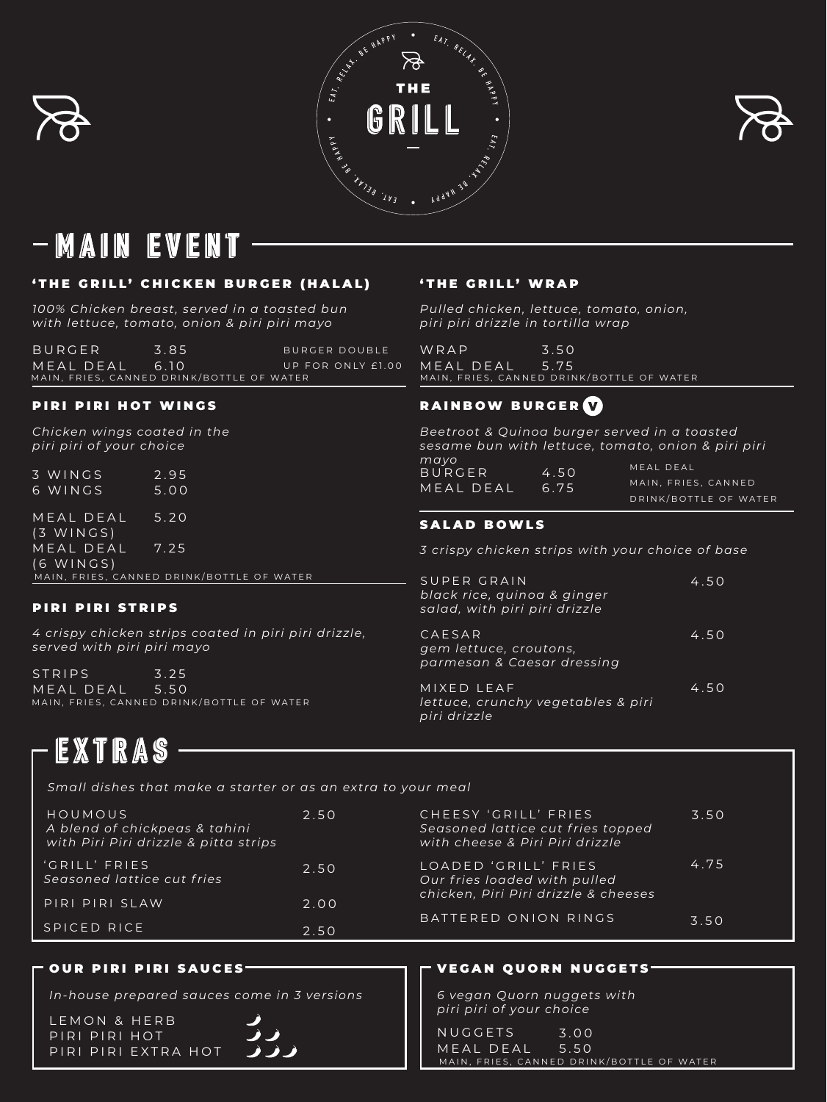





### EVENT WAUN

'THE GRILL' CHICKEN BURGER (HALAL)

BURGER MEAL DEAL 3.85 6.10 MAIN, FRIES, CANNED DRINK/BOTTLE OF WATER BURGER DOUBLE UP FOR ONLY £1.00

3 WINGS 6 WINGS 2.95 5.00 MEAL DEAL (3 WINGS) MEAL DEAL (6 WING S ) 5.20 7.25

*100% Chicken breast, served in a toasted bun with lettuce, tomato, onion & piri piri mayo*

'THE GRILL' WRAP

*Pulled chicken, lettuce, tomato, onion, piri piri drizzle in tortilla wrap*

### VEGAN QUORN NUGGETS

*6 vegan Quorn nuggets with piri piri of your choice*

### PIRI PIRI HOT WINGS

*Chicken wings coated in the piri piri of your choice*

> CHEESY 'GRILL' FRIES 3.50 *Seasoned lattice cut fries topped with cheese & Piri Piri drizzle*

> LOADED 'GRILL' FRIES 4.75

*Small dishes that make a starter or as an extra to your meal*

### PIRI PIRI STRIPS

*4 crispy chicken strips coated in piri piri drizzle, served with piri piri mayo*

4.50

4.50

4.50

EXTRAS

### SALAD BOWLS

*3 crispy chicken strips with your choice of base*

WRAP MEAL DEAL 3.50 5.75 MAIN, FRIES, CANNED DRINK/BOTTLE OF WATER

## RAINBOW BURGER (V)

MIXED LEAF *lettuce, crunchy vegetables & piri piri drizzle*

BURGER MEAL DEAL 4.50 6.75 *Beetroot & Quinoa burger served in a toasted sesame bun with lettuce, tomato, onion & piri piri mayo* MEAL DEAL MAIN, FRIES, CANNED DRINK/BOTTLE OF WATER

CAESAR *gem lettuce, croutons, parmesan & Caesar dressing*

SUPER GRAIN

*black rice, quinoa & ginger salad, with piri piri drizzle*

> NUGGETS MEAL DEAL 5.50 3.00 MAIN, FRIES, CANNED DRINK/BOTTLE OF WATER

HOUMOUS 2.50 *A blend of chickpeas & tahini with Piri Piri drizzle & pitta strips*



STRIPS MEAL DEAL 3.25 5.50 MAIN, FRIES, CANNED DRINK/BOTTLE OF WATER

## *Our fries loaded with pulled chicken, Piri Piri drizzle & cheeses*

BATTERED ONION RINGS 3.50

LEMON & HERB PIRI PIRI HOT PIRI PIRI EXTRA HOT

### OUR PIRI PIRI SAUCES

*In-house prepared sauces come in 3 versions*

#### 'GRILL' FRIES

| Seasoned lattice cut fries |      |
|----------------------------|------|
| PIRI PIRI SLAW             | 2.00 |
| SPICED RICE                | 2.50 |

MAIN, FRIES, CANNED DRINK/BOTTLE OF WATER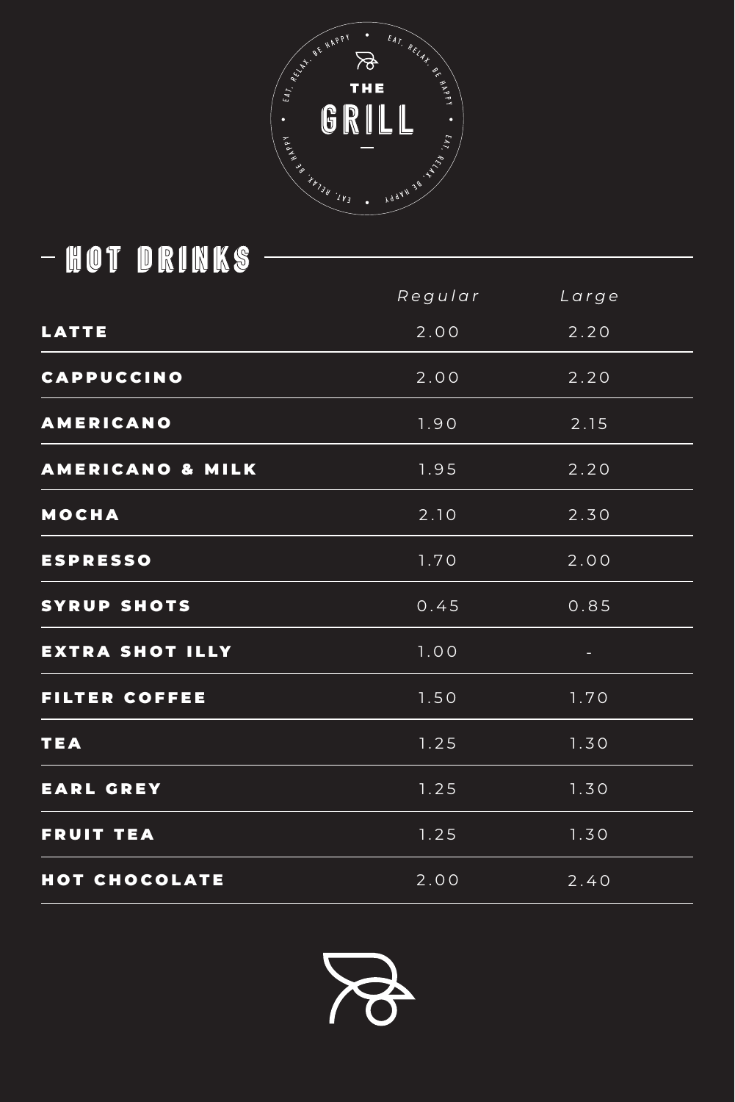# - HOT DRINKS -



|                  | Regular | Large |  |
|------------------|---------|-------|--|
| LATTE            | 2.00    | 2.20  |  |
| CAPPUCCINO       | 2.00    | 2.20  |  |
| AMERICANO        | 1.90    | 2.15  |  |
| AMERICANO & MILK | 1.95    | 2.20  |  |
| MOCHA            | 2.10    | 2.30  |  |
| <b>ESPRESSO</b>  | 1.70    | 2.00  |  |

### HOT CHOCOLATE

| SYRUP SHOTS     | 0.45 | 0.85            |
|-----------------|------|-----------------|
| EXTRA SHOT ILLY | 1.00 | <b>Contract</b> |
| FILTER COFFEE   | 1.50 | 1.70            |
| TEA             | 1.25 | 1.30            |
| EARL GREY       | 1.25 | 1.30            |
| FRUIT TEA       | 1.25 | 1.30            |